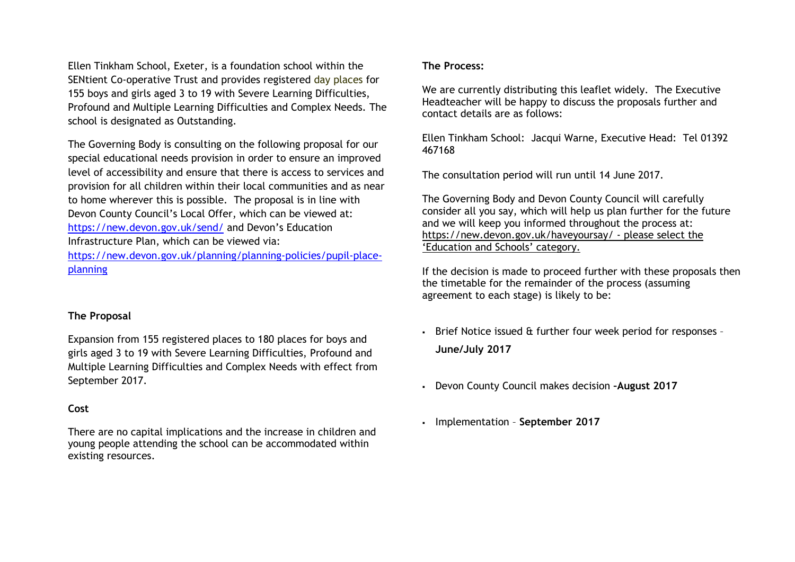Ellen Tinkham School, Exeter, is a foundation school within the SENtient Co-operative Trust and provides registered day places for 155 boys and girls aged 3 to 19 with Severe Learning Difficulties, Profound and Multiple Learning Difficulties and Complex Needs. The school is designated as Outstanding.

The Governing Body is consulting on the following proposal for our special educational needs provision in order to ensure an improved level of accessibility and ensure that there is access to services and provision for all children within their local communities and as near to home wherever this is possible. The proposal is in line with Devon County Council's Local Offer, which can be viewed at: <https://new.devon.gov.uk/send/> and Devon's Education Infrastructure Plan, which can be viewed via:

[https://new.devon.gov.uk/planning/planning-policies/pupil-place](https://new.devon.gov.uk/planning/planning-policies/pupil-place-planning)[planning](https://new.devon.gov.uk/planning/planning-policies/pupil-place-planning)

### **The Proposal**

Expansion from 155 registered places to 180 places for boys and girls aged 3 to 19 with Severe Learning Difficulties, Profound and Multiple Learning Difficulties and Complex Needs with effect from September 2017.

#### **Cost**

There are no capital implications and the increase in children and young people attending the school can be accommodated within existing resources.

#### **The Process:**

We are currently distributing this leaflet widely. The Executive Headteacher will be happy to discuss the proposals further and contact details are as follows:

Ellen Tinkham School: Jacqui Warne, Executive Head: Tel 01392 467168

The consultation period will run until 14 June 2017.

The Governing Body and Devon County Council will carefully consider all you say, which will help us plan further for the future and we will keep you informed throughout the process at: <https://new.devon.gov.uk/haveyoursay/> - please select the 'Education and Schools' category.

If the decision is made to proceed further with these proposals then the timetable for the remainder of the process (assuming agreement to each stage) is likely to be:

- Brief Notice issued & further four week period for responses **June/July 2017**
- Devon County Council makes decision **–August 2017**
- Implementation **September 2017**